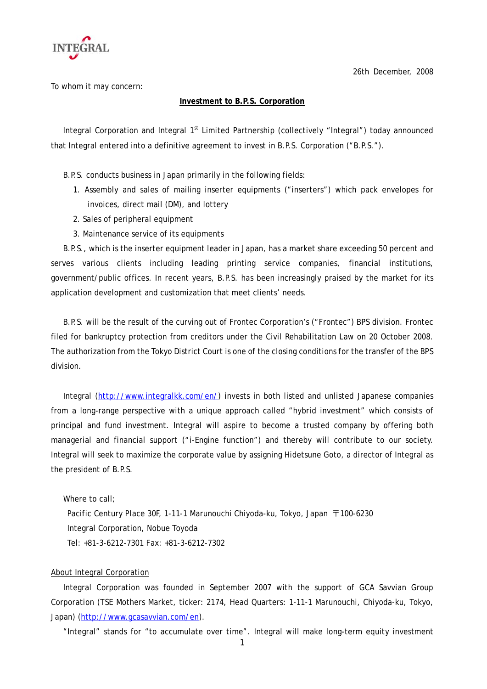

26th December, 2008

To whom it may concern:

## **Investment to B.P.S. Corporation**

Integral Corporation and Integral 1<sup>st</sup> Limited Partnership (collectively "Integral") today announced that Integral entered into a definitive agreement to invest in B.P.S. Corporation ("B.P.S.").

B.P.S. conducts business in Japan primarily in the following fields:

- 1. Assembly and sales of mailing inserter equipments ("inserters") which pack envelopes for invoices, direct mail (DM), and lottery
- 2. Sales of peripheral equipment
- 3. Maintenance service of its equipments

 B.P.S., which is the inserter equipment leader in Japan, has a market share exceeding 50 percent and serves various clients including leading printing service companies, financial institutions, government/public offices. In recent years, B.P.S. has been increasingly praised by the market for its application development and customization that meet clients' needs.

 B.P.S. will be the result of the curving out of Frontec Corporation's ("Frontec") BPS division. Frontec filed for bankruptcy protection from creditors under the Civil Rehabilitation Law on 20 October 2008. The authorization from the Tokyo District Court is one of the closing conditions for the transfer of the BPS division.

Integral [\(http://www.integralkk.com/en/\)](http://www.integralkk.com/en/) invests in both listed and unlisted Japanese companies from a long-range perspective with a unique approach called "hybrid investment" which consists of principal and fund investment. Integral will aspire to become a trusted company by offering both managerial and financial support ("i-Engine function") and thereby will contribute to our society. Integral will seek to maximize the corporate value by assigning Hidetsune Goto, a director of Integral as the president of B.P.S.

Where to call:

Pacific Century Place 30F, 1-11-1 Marunouchi Chiyoda-ku, Tokyo, Japan 〒100-6230 Integral Corporation, Nobue Toyoda Tel: +81-3-6212-7301 Fax: +81-3-6212-7302

## About Integral Corporation

Integral Corporation was founded in September 2007 with the support of GCA Savvian Group Corporation (TSE Mothers Market, ticker: 2174, Head Quarters: 1-11-1 Marunouchi, Chiyoda-ku, Tokyo, Japan) (<http://www.gcasavvian.com/en>).

"Integral" stands for "to accumulate over time". Integral will make long-term equity investment